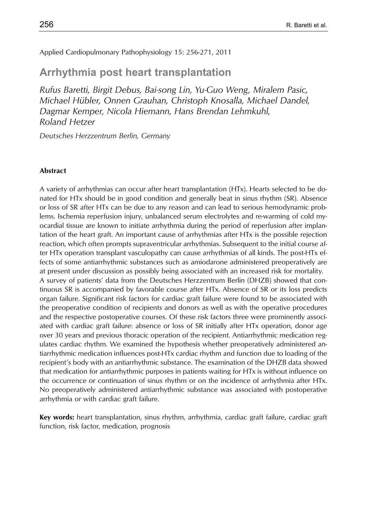Applied Cardiopulmonary Pathophysiology 15: 256-271, 2011

# **Arrhythmia post heart transplantation**

*Rufus Baretti, Birgit Debus, Bai-song Lin, Yu-Guo Weng, Miralem Pasic, Michael Hübler, Onnen Grauhan, Christoph Knosalla, Michael Dandel, Dagmar Kemper, Nicola Hiemann, Hans Brendan Lehmkuhl, Roland Hetzer*

*Deutsches Herzzentrum Berlin, Germany*

#### **Abstract**

A variety of arrhythmias can occur after heart transplantation (HTx). Hearts selected to be donated for HTx should be in good condition and generally beat in sinus rhythm (SR). Absence or loss of SR after HTx can be due to any reason and can lead to serious hemodynamic problems. Ischemia reperfusion injury, unbalanced serum electrolytes and re-warming of cold myocardial tissue are known to initiate arrhythmia during the period of reperfusion after implantation of the heart graft. An important cause of arrhythmias after HTx is the possible rejection reaction, which often prompts supraventricular arrhythmias. Subsequent to the initial course after HTx operation transplant vasculopathy can cause arrhythmias of all kinds. The post-HTx effects of some antiarrhythmic substances such as amiodarone administered preoperatively are at present under discussion as possibly being associated with an increased risk for mortality. A survey of patients' data from the Deutsches Herzzentrum Berlin (DHZB) showed that continuous SR is accompanied by favorable course after HTx. Absence of SR or its loss predicts organ failure. Significant risk factors for cardiac graft failure were found to be associated with the preoperative condition of recipients and donors as well as with the operative procedures and the respective postoperative courses. Of these risk factors three were prominently associated with cardiac graft failure: absence or loss of SR initially after HTx operation, donor age over 30 years and previous thoracic operation of the recipient. Antiarrhythmic medication regulates cardiac rhythm. We examined the hypothesis whether preoperatively administered antiarrhythmic medication influences post-HTx cardiac rhythm and function due to loading of the recipient's body with an antiarrhythmic substance. The examination of the DHZB data showed that medication for antiarrhythmic purposes in patients waiting for HTx is without influence on the occurrence or continuation of sinus rhythm or on the incidence of arrhythmia after HTx. No preoperatively administered antiarrhythmic substance was associated with postoperative arrhythmia or with cardiac graft failure.

**Key words:** heart transplantation, sinus rhythm, arrhythmia, cardiac graft failure, cardiac graft function, risk factor, medication, prognosis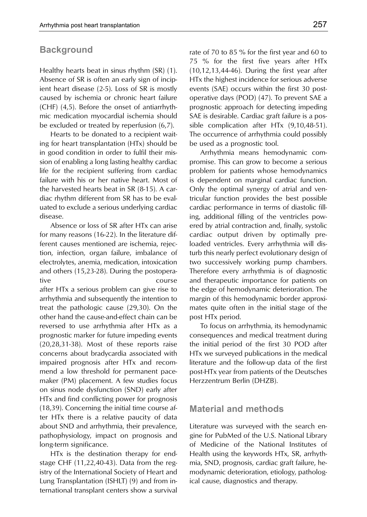### **Background**

Healthy hearts beat in sinus rhythm (SR) (1). Absence of SR is often an early sign of incipient heart disease (2-5). Loss of SR is mostly caused by ischemia or chronic heart failure (CHF) (4,5). Before the onset of antiarrhythmic medication myocardial ischemia should be excluded or treated by reperfusion (6,7).

Hearts to be donated to a recipient waiting for heart transplantation (HTx) should be in good condition in order to fulfil their mission of enabling a long lasting healthy cardiac life for the recipient suffering from cardiac failure with his or her native heart. Most of the harvested hearts beat in SR (8-15). A cardiac rhythm different from SR has to be evaluated to exclude a serious underlying cardiac disease.

Absence or loss of SR after HTx can arise for many reasons (16-22). In the literature different causes mentioned are ischemia, rejection, infection, organ failure, imbalance of electrolytes, anemia, medication, intoxication and others (15,23-28). During the postoperative course after HTx a serious problem can give rise to arrhythmia and subsequently the intention to treat the pathologic cause (29,30). On the other hand the cause-and-effect chain can be reversed to use arrhythmia after HTx as a prognostic marker for future impeding events (20,28,31-38). Most of these reports raise concerns about bradycardia associated with impaired prognosis after HTx and recommend a low threshold for permanent pacemaker (PM) placement. A few studies focus on sinus node dysfunction (SND) early after HTx and find conflicting power for prognosis (18,39). Concerning the initial time course after HTx there is a relative paucity of data about SND and arrhythmia, their prevalence, pathophysiology, impact on prognosis and long-term significance.

HTx is the destination therapy for endstage CHF (11,22,40-43). Data from the registry of the International Society of Heart and Lung Transplantation (ISHLT) (9) and from international transplant centers show a survival rate of 70 to 85 % for the first year and 60 to 75 % for the first five years after HTx (10,12,13,44-46). During the first year after HTx the highest incidence for serious adverse events (SAE) occurs within the first 30 postoperative days (POD) (47). To prevent SAE a prognostic approach for detecting impeding SAE is desirable. Cardiac graft failure is a possible complication after HTx (9,10,48-51). The occurrence of arrhythmia could possibly be used as a prognostic tool.

Arrhythmia means hemodynamic compromise. This can grow to become a serious problem for patients whose hemodynamics is dependent on marginal cardiac function. Only the optimal synergy of atrial and ventricular function provides the best possible cardiac performance in terms of diastolic filling, additional filling of the ventricles powered by atrial contraction and, finally, systolic cardiac output driven by optimally preloaded ventricles. Every arrhythmia will disturb this nearly perfect evolutionary design of two successively working pump chambers. Therefore every arrhythmia is of diagnostic and therapeutic importance for patients on the edge of hemodynamic deterioration. The margin of this hemodynamic border approximates quite often in the initial stage of the post HTx period.

To focus on arrhythmia, its hemodynamic consequences and medical treatment during the initial period of the first 30 POD after HTx we surveyed publications in the medical literature and the follow-up data of the first post-HTx year from patients of the Deutsches Herzzentrum Berlin (DHZB).

## **Material and methods**

Literature was surveyed with the search engine for PubMed of the U.S. National Library of Medicine of the National Institutes of Health using the keywords HTx, SR, arrhythmia, SND, prognosis, cardiac graft failure, hemodynamic deterioration, etiology, pathological cause, diagnostics and therapy.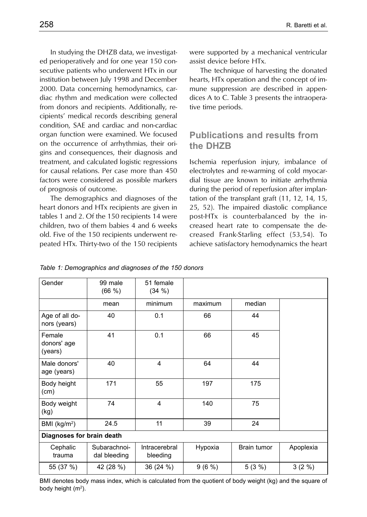In studying the DHZB data, we investigated perioperatively and for one year 150 consecutive patients who underwent HTx in our institution between July 1998 and December 2000. Data concerning hemodynamics, cardiac rhythm and medication were collected from donors and recipients. Additionally, recipients' medical records describing general condition, SAE and cardiac and non-cardiac organ function were examined. We focused on the occurrence of arrhythmias, their origins and consequences, their diagnosis and treatment, and calculated logistic regressions for causal relations. Per case more than 450 factors were considered as possible markers of prognosis of outcome.

The demographics and diagnoses of the heart donors and HTx recipients are given in tables 1 and 2. Of the 150 recipients 14 were children, two of them babies 4 and 6 weeks old. Five of the 150 recipients underwent repeated HTx. Thirty-two of the 150 recipients were supported by a mechanical ventricular assist device before HTx.

The technique of harvesting the donated hearts, HTx operation and the concept of immune suppression are described in appendices A to C. Table 3 presents the intraoperative time periods.

## **Publications and results from the DHZB**

Ischemia reperfusion injury, imbalance of electrolytes and re-warming of cold myocardial tissue are known to initiate arrhythmia during the period of reperfusion after implantation of the transplant graft (11, 12, 14, 15, 25, 52). The impaired diastolic compliance post-HTx is counterbalanced by the increased heart rate to compensate the decreased Frank-Starling effect (53,54). To achieve satisfactory hemodynamics the heart

| Gender                           | 99 male<br>$(66 \%)$         | 51 female<br>(34%)        |         |             |           |
|----------------------------------|------------------------------|---------------------------|---------|-------------|-----------|
|                                  | mean                         | minimum                   | maximum | median      |           |
| Age of all do-<br>nors (years)   | 40                           | 0.1                       | 66      | 44          |           |
| Female<br>donors' age<br>(years) | 41                           | 0.1                       | 66      | 45          |           |
| Male donors'<br>age (years)      | 40                           | $\overline{\mathbf{4}}$   | 64      | 44          |           |
| Body height<br>(cm)              | 171                          | 55                        | 197     | 175         |           |
| Body weight<br>(kg)              | 74                           | $\overline{4}$            | 140     | 75          |           |
| BMI (kg/m <sup>2</sup> )         | 24.5                         | 11                        | 39      | 24          |           |
| Diagnoses for brain death        |                              |                           |         |             |           |
| Cephalic<br>trauma               | Subarachnoi-<br>dal bleeding | Intracerebral<br>bleeding | Hypoxia | Brain tumor | Apoplexia |
| 55 (37 %)                        | 42 (28 %)                    | 36 (24 %)                 | 9(6%)   | 5(3%)       | $3(2\%)$  |

|  |  |  |  |  |  | Table 1: Demographics and diagnoses of the 150 donors |  |  |  |  |
|--|--|--|--|--|--|-------------------------------------------------------|--|--|--|--|
|--|--|--|--|--|--|-------------------------------------------------------|--|--|--|--|

BMI denotes body mass index, which is calculated from the quotient of body weight (kg) and the square of body height  $(m<sup>2</sup>)$ .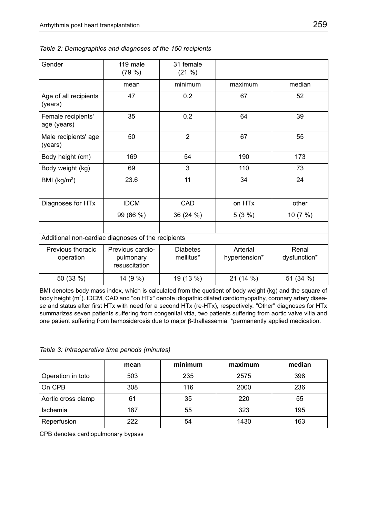| Gender                                             | 119 male<br>(79%)                              | 31 female<br>$(21 \%)$       |                           |                       |
|----------------------------------------------------|------------------------------------------------|------------------------------|---------------------------|-----------------------|
|                                                    | mean                                           | minimum                      | maximum                   | median                |
| Age of all recipients<br>(years)                   | 47                                             | 0.2                          | 67                        | 52                    |
| Female recipients'<br>age (years)                  | 35                                             | 0.2                          | 64                        | 39                    |
| Male recipients' age<br>(years)                    | 50                                             | 2                            | 67                        | 55                    |
| Body height (cm)                                   | 169                                            | 54                           | 190                       | 173                   |
| Body weight (kg)                                   | 69                                             | 3                            | 110                       | 73                    |
| BMI $(kg/m2)$                                      | 23.6                                           | 11                           | 34                        | 24                    |
|                                                    |                                                |                              |                           |                       |
| Diagnoses for HTx                                  | <b>IDCM</b>                                    | CAD                          | on HTx                    | other                 |
|                                                    | 99 (66 %)                                      | 36 (24 %)                    | 5(3%)                     | 10 $(7%)$             |
|                                                    |                                                |                              |                           |                       |
| Additional non-cardiac diagnoses of the recipients |                                                |                              |                           |                       |
| Previous thoracic<br>operation                     | Previous cardio-<br>pulmonary<br>resuscitation | <b>Diabetes</b><br>mellitus* | Arterial<br>hypertension* | Renal<br>dysfunction* |
| 50 (33 %)                                          | 14 (9 %)                                       | 19 (13 %)                    | 21 (14 %)                 | 51 (34 %)             |

|  |  |  |  | Table 2: Demographics and diagnoses of the 150 recipients |
|--|--|--|--|-----------------------------------------------------------|
|  |  |  |  |                                                           |

BMI denotes body mass index, which is calculated from the quotient of body weight (kg) and the square of body height (m<sup>2</sup>). IDCM, CAD and "on HTx" denote idiopathic dilated cardiomyopathy, coronary artery disease and status after first HTx with need for a second HTx (re-HTx), respectively. "Other" diagnoses for HTx summarizes seven patients suffering from congenital vitia, two patients suffering from aortic valve vitia and one patient suffering from hemosiderosis due to major β-thallassemia. \*permanently applied medication.

|                    | mean | minimum | maximum | median |
|--------------------|------|---------|---------|--------|
| Operation in toto  | 503  | 235     | 2575    | 398    |
| On CPB             | 308  | 116     | 2000    | 236    |
| Aortic cross clamp | 61   | 35      | 220     | 55     |
| Ischemia           | 187  | 55      | 323     | 195    |
| Reperfusion        | 222  | 54      | 1430    | 163    |

CPB denotes cardiopulmonary bypass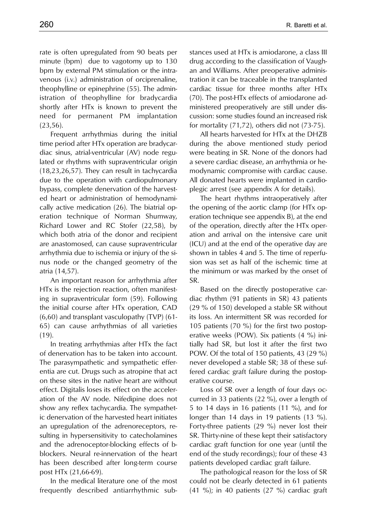rate is often upregulated from 90 beats per minute (bpm) due to vagotomy up to 130 bpm by external PM stimulation or the intravenous (i.v.) administration of orciprenaline, theophylline or epinephrine (55). The administration of theophylline for bradycardia shortly after HTx is known to prevent the need for permanent PM implantation (23,56).

Frequent arrhythmias during the initial time period after HTx operation are bradycardiac sinus, atrial-ventricular (AV) node regulated or rhythms with supraventricular origin (18,23,26,57). They can result in tachycardia due to the operation with cardiopulmonary bypass, complete denervation of the harvested heart or administration of hemodynamically active medication (26). The biatrial operation technique of Norman Shumway, Richard Lower and RC Stofer (22,58), by which both atria of the donor and recipient are anastomosed, can cause supraventricular arrhythmia due to ischemia or injury of the sinus node or the changed geometry of the atria (14,57).

An important reason for arrhythmia after HTx is the rejection reaction, often manifesting in supraventricular form (59). Following the initial course after HTx operation, CAD (6,60) and transplant vasculopathy (TVP) (61- 65) can cause arrhythmias of all varieties (19).

In treating arrhythmias after HTx the fact of denervation has to be taken into account. The parasympathetic and sympathetic efferentia are cut. Drugs such as atropine that act on these sites in the native heart are without effect. Digitalis loses its effect on the acceleration of the AV node. Nifedipine does not show any reflex tachycardia. The sympathetic denervation of the harvested heart initiates an upregulation of the adrenoreceptors, resulting in hypersensitivity to catecholamines and the adrenoceptor-blocking effects of bblockers. Neural re-innervation of the heart has been described after long-term course post HTx (21,66-69).

In the medical literature one of the most frequently described antiarrhythmic substances used at HTx is amiodarone, a class III drug according to the classification of Vaughan and Williams. After preoperative administration it can be traceable in the transplanted cardiac tissue for three months after HTx (70). The post-HTx effects of amiodarone administered preoperatively are still under discussion: some studies found an increased risk for mortality (71,72), others did not (73-75).

All hearts harvested for HTx at the DHZB during the above mentioned study period were beating in SR. None of the donors had a severe cardiac disease, an arrhythmia or hemodynamic compromise with cardiac cause. All donated hearts were implanted in cardioplegic arrest (see appendix A for details).

The heart rhythms intraoperatively after the opening of the aortic clamp (for HTx operation technique see appendix B), at the end of the operation, directly after the HTx operation and arrival on the intensive care unit (ICU) and at the end of the operative day are shown in tables 4 and 5. The time of reperfusion was set as half of the ischemic time at the minimum or was marked by the onset of SR.

Based on the directly postoperative cardiac rhythm (91 patients in SR) 43 patients (29 % of 150) developed a stable SR without its loss. An intermittent SR was recorded for 105 patients (70 %) for the first two postoperative weeks (POW). Six patients (4 %) initially had SR, but lost it after the first two POW. Of the total of 150 patients, 43 (29 %) never developed a stable SR; 38 of these suffered cardiac graft failure during the postoperative course.

Loss of SR over a length of four days occurred in 33 patients (22 %), over a length of 5 to 14 days in 16 patients (11 %), and for longer than 14 days in 19 patients (13 %). Forty-three patients (29 %) never lost their SR. Thirty-nine of these kept their satisfactory cardiac graft function for one year (until the end of the study recordings); four of these 43 patients developed cardiac graft failure.

The pathological reason for the loss of SR could not be clearly detected in 61 patients (41 %); in 40 patients (27 %) cardiac graft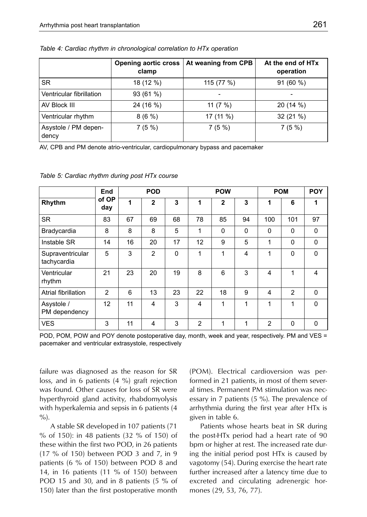|                               | <b>Opening aortic cross</b><br>clamp | At weaning from CPB | At the end of HTx<br>operation |
|-------------------------------|--------------------------------------|---------------------|--------------------------------|
| <b>SR</b>                     | 18 (12 %)                            | 115 (77 %)          | $91(60\%)$                     |
| Ventricular fibrillation      | 93(61%)                              |                     |                                |
| AV Block III                  | 24 (16 %)                            | 11 $(7%)$           | 20 (14 %)                      |
| Ventricular rhythm            | 8(6%)                                | 17 (11 %)           | 32 (21 %)                      |
| Asystole / PM depen-<br>dency | 7(5%)                                | 7(5%)               | 7(5%)                          |

*Table 4: Cardiac rhythm in chronological correlation to HTx operation*

AV, CPB and PM denote atrio-ventricular, cardiopulmonary bypass and pacemaker

|                                 | <b>POD</b>     |    | <b>POW</b>     |          |                | <b>POM</b>   |              | <b>POY</b>     |                |          |
|---------------------------------|----------------|----|----------------|----------|----------------|--------------|--------------|----------------|----------------|----------|
| Rhythm                          | of OP<br>day   | 1  | $\mathbf{2}$   | 3        | 1              | $\mathbf{2}$ | 3            | 1              | 6              | 1        |
| <b>SR</b>                       | 83             | 67 | 69             | 68       | 78             | 85           | 94           | 100            | 101            | 97       |
| Bradycardia                     | 8              | 8  | 8              | 5        | $\mathbf{1}$   | $\Omega$     | $\mathbf{0}$ | $\Omega$       | $\mathbf{0}$   | 0        |
| Instable SR                     | 14             | 16 | 20             | 17       | 12             | 9            | 5            | 1              | $\mathbf{0}$   | 0        |
| Supraventricular<br>tachycardia | 5              | 3  | $\overline{2}$ | $\Omega$ | $\mathbf{1}$   | 1            | 4            | 1              | $\mathbf{0}$   | $\Omega$ |
| Ventricular<br>rhythm           | 21             | 23 | 20             | 19       | 8              | 6            | 3            | 4              | 1              | 4        |
| Atrial fibrillation             | $\overline{2}$ | 6  | 13             | 23       | 22             | 18           | 9            | 4              | $\overline{2}$ | $\Omega$ |
| Asystole /<br>PM dependency     | 12             | 11 | 4              | 3        | 4              | 1            | $\mathbf{1}$ | 1              | 1              | $\Omega$ |
| <b>VES</b>                      | 3              | 11 | 4              | 3        | $\overline{2}$ | 1            | 1            | $\overline{2}$ | $\Omega$       | $\Omega$ |

*Table 5: Cardiac rhythm during post HTx course*

POD, POM, POW and POY denote postoperative day, month, week and year, respectively. PM and VES = pacemaker and ventricular extrasystole, respectively

failure was diagnosed as the reason for SR loss, and in 6 patients (4 %) graft rejection was found. Other causes for loss of SR were hyperthyroid gland activity, rhabdomyolysis with hyperkalemia and sepsis in 6 patients (4  $\%$ ).

A stable SR developed in 107 patients (71 % of 150): in 48 patients (32 % of 150) of these within the first two POD, in 26 patients (17 % of 150) between POD 3 and 7, in 9 patients (6 % of 150) between POD 8 and 14, in 16 patients (11 % of 150) between POD 15 and 30, and in 8 patients (5 % of 150) later than the first postoperative month (POM). Electrical cardioversion was performed in 21 patients, in most of them several times. Permanent PM stimulation was necessary in 7 patients (5 %). The prevalence of arrhythmia during the first year after HTx is given in table 6.

Patients whose hearts beat in SR during the post-HTx period had a heart rate of 90 bpm or higher at rest. The increased rate during the initial period post HTx is caused by vagotomy (54). During exercise the heart rate further increased after a latency time due to excreted and circulating adrenergic hormones (29, 53, 76, 77).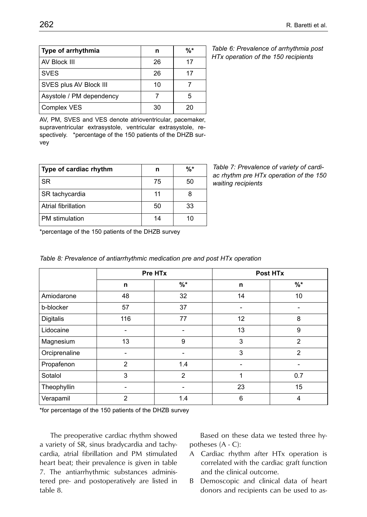| Type of arrhythmia       | n  | %* |
|--------------------------|----|----|
| AV Block III             | 26 | 17 |
| <b>SVES</b>              | 26 | 17 |
| SVES plus AV Block III   | 10 |    |
| Asystole / PM dependency |    | 5  |
| Complex VES              | 30 | 20 |

*Table 6: Prevalence of arrhythmia post HTx operation of the 150 recipients*

AV, PM, SVES and VES denote atrioventricular, pacemaker, supraventricular extrasystole, ventricular extrasystole, respectively. \*percentage of the 150 patients of the DHZB survey

| Type of cardiac rhythm | n  | $\%$ * |
|------------------------|----|--------|
| <b>SR</b>              | 75 | 50     |
| <b>SR</b> tachycardia  | 11 | 8      |
| Atrial fibrillation    | 50 | 33     |
| PM stimulation         | 14 | 10     |

*Table 7: Prevalence of variety of cardiac rhythm pre HTx operation of the 150 waiting recipients*

\*percentage of the 150 patients of the DHZB survey

|               |     | Pre HTx        |    | Post HTx       |
|---------------|-----|----------------|----|----------------|
|               | n   | $%$ *          | n  | $%$ *          |
| Amiodarone    | 48  | 32             | 14 | 10             |
| b-blocker     | 57  | 37             |    |                |
| Digitalis     | 116 | 77             | 12 | 8              |
| Lidocaine     |     |                | 13 | 9              |
| Magnesium     | 13  | 9              | 3  | $\overline{2}$ |
| Orciprenaline |     |                | 3  | $\overline{2}$ |
| Propafenon    | 2   | 1.4            |    |                |
| Sotalol       | 3   | $\overline{2}$ | 1  | 0.7            |
| Theophyllin   | ۰   |                | 23 | 15             |
| Verapamil     | 2   | 1.4            | 6  | 4              |

*Table 8: Prevalence of antiarrhythmic medication pre and post HTx operation*

\*for percentage of the 150 patients of the DHZB survey

The preoperative cardiac rhythm showed a variety of SR, sinus bradycardia and tachycardia, atrial fibrillation and PM stimulated heart beat; their prevalence is given in table 7. The antiarrhythmic substances administered pre- and postoperatively are listed in table 8.

Based on these data we tested three hypotheses (A - C):

- A Cardiac rhythm after HTx operation is correlated with the cardiac graft function and the clinical outcome.
- B Demoscopic and clinical data of heart donors and recipients can be used to as-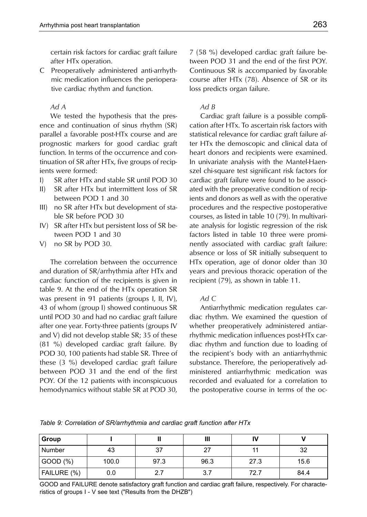certain risk factors for cardiac graft failure after HTx operation.

C Preoperatively administered anti-arrhythmic medication influences the perioperative cardiac rhythm and function.

#### *Ad A*

We tested the hypothesis that the presence and continuation of sinus rhythm (SR) parallel a favorable post-HTx course and are prognostic markers for good cardiac graft function. In terms of the occurrence and continuation of SR after HTx, five groups of recipients were formed:

- I) SR after HTx and stable SR until POD 30
- II) SR after HTx but intermittent loss of SR between POD 1 and 30
- III) no SR after HTx but development of stable SR before POD 30
- IV) SR after HTx but persistent loss of SR between POD 1 and 30
- V) no SR by POD 30.

The correlation between the occurrence and duration of SR/arrhythmia after HTx and cardiac function of the recipients is given in table 9. At the end of the HTx operation SR was present in 91 patients (groups I, II, IV), 43 of whom (group I) showed continuous SR until POD 30 and had no cardiac graft failure after one year. Forty-three patients (groups IV and V) did not develop stable SR; 35 of these (81 %) developed cardiac graft failure. By POD 30, 100 patients had stable SR. Three of these (3 %) developed cardiac graft failure between POD 31 and the end of the first POY. Of the 12 patients with inconspicuous hemodynamics without stable SR at POD 30, 7 (58 %) developed cardiac graft failure between POD 31 and the end of the first POY. Continuous SR is accompanied by favorable course after HTx (78). Absence of SR or its loss predicts organ failure.

#### *Ad B*

Cardiac graft failure is a possible complication after HTx. To ascertain risk factors with statistical relevance for cardiac graft failure after HTx the demoscopic and clinical data of heart donors and recipients were examined. In univariate analysis with the Mantel-Haenszel chi-square test significant risk factors for cardiac graft failure were found to be associated with the preoperative condition of recipients and donors as well as with the operative procedures and the respective postoperative courses, as listed in table 10 (79). In multivariate analysis for logistic regression of the risk factors listed in table 10 three were prominently associated with cardiac graft failure: absence or loss of SR initially subsequent to HTx operation, age of donor older than 30 years and previous thoracic operation of the recipient (79), as shown in table 11.

#### *Ad C*

Antiarrhythmic medication regulates cardiac rhythm. We examined the question of whether preoperatively administered antiarrhythmic medication influences post-HTx cardiac rhythm and function due to loading of the recipient's body with an antiarrhythmic substance. Therefore, the perioperatively administered antiarrhythmic medication was recorded and evaluated for a correlation to the postoperative course in terms of the oc-

*Table 9: Correlation of SR/arrhythmia and cardiac graft function after HTx*

| Group       |       |      | Ш    | IV   |      |
|-------------|-------|------|------|------|------|
| Number      | 43    | 37   | 27   |      | 32   |
| GOOD (%)    | 100.0 | 97.3 | 96.3 | 27.3 | 15.6 |
| FAILURE (%) | 0.0   | 2.7  | 3.7  | 72.7 | 84.4 |

GOOD and FAILURE denote satisfactory graft function and cardiac graft failure, respectively. For characteristics of groups I - V see text ("Results from the DHZB")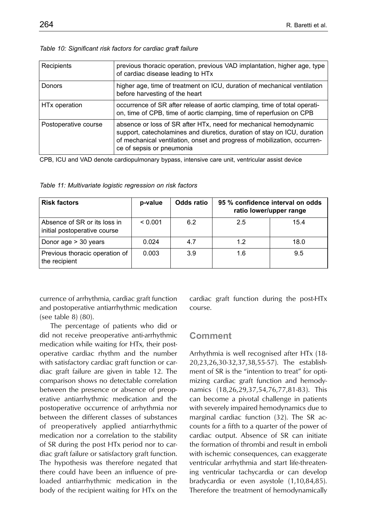| Recipients                | previous thoracic operation, previous VAD implantation, higher age, type<br>of cardiac disease leading to HTx                                                                                                                                         |
|---------------------------|-------------------------------------------------------------------------------------------------------------------------------------------------------------------------------------------------------------------------------------------------------|
| <b>Donors</b>             | higher age, time of treatment on ICU, duration of mechanical ventilation<br>before harvesting of the heart                                                                                                                                            |
| HT <sub>x</sub> operation | occurrence of SR after release of aortic clamping, time of total operati-<br>on, time of CPB, time of aortic clamping, time of reperfusion on CPB                                                                                                     |
| Postoperative course      | absence or loss of SR after HTx, need for mechanical hemodynamic<br>support, catecholamines and diuretics, duration of stay on ICU, duration<br>of mechanical ventilation, onset and progress of mobilization, occurren-<br>ce of sepsis or pneumonia |

|  | Table 10: Significant risk factors for cardiac graft failure |  |  |  |
|--|--------------------------------------------------------------|--|--|--|
|  |                                                              |  |  |  |

CPB, ICU and VAD denote cardiopulmonary bypass, intensive care unit, ventricular assist device

*Table 11: Multivariate logistic regression on risk factors*

| <b>Risk factors</b>                                          | p-value | <b>Odds ratio</b> | 95 % confidence interval on odds<br>ratio lower/upper range |      |  |
|--------------------------------------------------------------|---------|-------------------|-------------------------------------------------------------|------|--|
| Absence of SR or its loss in<br>initial postoperative course | < 0.001 | 6.2               | 25                                                          | 15.4 |  |
| Donor age $>$ 30 years                                       | 0.024   | 4.7               | 1.2                                                         | 18.0 |  |
| Previous thoracic operation of<br>the recipient              | 0.003   | 3.9               | 1.6                                                         | 9.5  |  |

currence of arrhythmia, cardiac graft function and postoperative antiarrhythmic medication (see table 8) (80).

The percentage of patients who did or did not receive preoperative anti-arrhythmic medication while waiting for HTx, their postoperative cardiac rhythm and the number with satisfactory cardiac graft function or cardiac graft failure are given in table 12. The comparison shows no detectable correlation between the presence or absence of preoperative antiarrhythmic medication and the postoperative occurrence of arrhythmia nor between the different classes of substances of preoperatively applied antiarrhythmic medication nor a correlation to the stability of SR during the post HTx period nor to cardiac graft failure or satisfactory graft function. The hypothesis was therefore negated that there could have been an influence of preloaded antiarrhythmic medication in the body of the recipient waiting for HTx on the

cardiac graft function during the post-HTx course.

### **Comment**

Arrhythmia is well recognised after HTx (18- 20,23,26,30-32,37,38,55-57). The establishment of SR is the "intention to treat" for optimizing cardiac graft function and hemodynamics (18,26,29,37,54,76,77,81-83). This can become a pivotal challenge in patients with severely impaired hemodynamics due to marginal cardiac function (32). The SR accounts for a fifth to a quarter of the power of cardiac output. Absence of SR can initiate the formation of thrombi and result in emboli with ischemic consequences, can exaggerate ventricular arrhythmia and start life-threatening ventricular tachycardia or can develop bradycardia or even asystole (1,10,84,85). Therefore the treatment of hemodynamically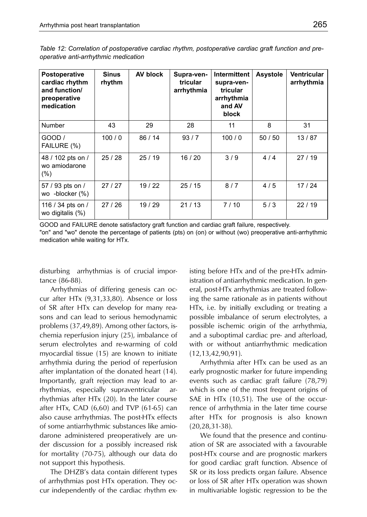| <b>Postoperative</b><br>cardiac rhythm<br>and function/<br>preoperative<br>medication | <b>Sinus</b><br>rhythm | AV block | Supra-ven-<br>tricular<br>arrhythmia | <b>Intermittent</b><br>supra-ven-<br>tricular<br>arrhythmia<br>and AV<br>block | <b>Asystole</b> | Ventricular<br>arrhythmia |
|---------------------------------------------------------------------------------------|------------------------|----------|--------------------------------------|--------------------------------------------------------------------------------|-----------------|---------------------------|
| Number                                                                                | 43                     | 29       | 28                                   | 11                                                                             | 8               | 31                        |
| GOOD /<br>FAILURE (%)                                                                 | 100/0                  | 86 / 14  | 93/7                                 | 100/0                                                                          | 50/50           | 13/87                     |
| 48 / 102 pts on /<br>wo amiodarone<br>$(\% )$                                         | 25/28                  | 25/19    | 16/20                                | 3/9                                                                            | 4/4             | 27/19                     |
| 57 / 93 pts on /<br>wo -blocker (%)                                                   | 27/27                  | 19/22    | 25/15                                | 8/7                                                                            | 4/5             | 17/24                     |
| 116 / 34 pts on /<br>wo digitalis (%)                                                 | 27/26                  | 19/29    | 21/13                                | 7/10                                                                           | 5/3             | 22/19                     |

*Table 12: Correlation of postoperative cardiac rhythm, postoperative cardiac graft function and preoperative anti-arrhythmic medication*

GOOD and FAILURE denote satisfactory graft function and cardiac graft failure, respectively. "on" and "wo" denote the percentage of patients (pts) on (on) or without (wo) preoperative anti-arrhythmic medication while waiting for HTx.

disturbing arrhythmias is of crucial importance (86-88).

Arrhythmias of differing genesis can occur after HTx (9,31,33,80). Absence or loss of SR after HTx can develop for many reasons and can lead to serious hemodynamic problems (37,49,89). Among other factors, ischemia reperfusion injury (25), imbalance of serum electrolytes and re-warming of cold myocardial tissue (15) are known to initiate arrhythmia during the period of reperfusion after implantation of the donated heart (14). Importantly, graft rejection may lead to arrhythmias, especially supraventricular arrhythmias after HTx (20). In the later course after HTx, CAD (6,60) and TVP (61-65) can also cause arrhythmias. The post-HTx effects of some antiarrhythmic substances like amiodarone administered preoperatively are under discussion for a possibly increased risk for mortality (70-75), although our data do not support this hypothesis.

The DHZB's data contain different types of arrhythmias post HTx operation. They occur independently of the cardiac rhythm existing before HTx and of the pre-HTx administration of antiarrhythmic medication. In general, post-HTx arrhythmias are treated following the same rationale as in patients without HTx, i.e. by initially excluding or treating a possible imbalance of serum electrolytes, a possible ischemic origin of the arrhythmia, and a suboptimal cardiac pre- and afterload, with or without antiarrhythmic medication (12,13,42,90,91).

Arrhythmia after HTx can be used as an early prognostic marker for future impending events such as cardiac graft failure (78,79) which is one of the most frequent origins of SAE in HTx (10,51). The use of the occurrence of arrhythmia in the later time course after HTx for prognosis is also known (20,28,31-38).

We found that the presence and continuation of SR are associated with a favourable post-HTx course and are prognostic markers for good cardiac graft function. Absence of SR or its loss predicts organ failure. Absence or loss of SR after HTx operation was shown in multivariable logistic regression to be the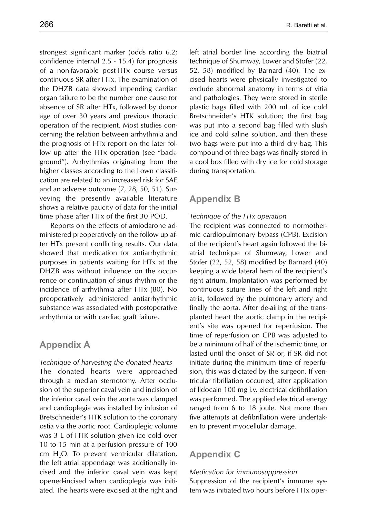strongest significant marker (odds ratio 6.2; confidence internal 2.5 - 15.4) for prognosis of a non-favorable post-HTx course versus continuous SR after HTx. The examination of the DHZB data showed impending cardiac organ failure to be the number one cause for absence of SR after HTx, followed by donor age of over 30 years and previous thoracic operation of the recipient. Most studies concerning the relation between arrhythmia and the prognosis of HTx report on the later follow up after the HTx operation (see "background"). Arrhythmias originating from the higher classes according to the Lown classification are related to an increased risk for SAE and an adverse outcome (7, 28, 50, 51). Surveying the presently available literature shows a relative paucity of data for the initial time phase after HTx of the first 30 POD.

Reports on the effects of amiodarone administered preoperatively on the follow up after HTx present conflicting results. Our data showed that medication for antiarrhythmic purposes in patients waiting for HTx at the DHZB was without influence on the occurrence or continuation of sinus rhythm or the incidence of arrhythmia after HTx (80). No preoperatively administered antiarrhythmic substance was associated with postoperative arrhythmia or with cardiac graft failure.

## **Appendix A**

*Technique of harvesting the donated hearts* The donated hearts were approached through a median sternotomy. After occlusion of the superior caval vein and incision of the inferior caval vein the aorta was clamped and cardioplegia was installed by infusion of Bretschneider's HTK solution to the coronary ostia via the aortic root. Cardioplegic volume was 3 L of HTK solution given ice cold over 10 to 15 min at a perfusion pressure of 100  $cm H<sub>2</sub>O$ . To prevent ventricular dilatation, the left atrial appendage was additionally incised and the inferior caval vein was kept opened-incised when cardioplegia was initiated. The hearts were excised at the right and left atrial border line according the biatrial technique of Shumway, Lower and Stofer (22, 52, 58) modified by Barnard (40). The excised hearts were physically investigated to exclude abnormal anatomy in terms of vitia and pathologies. They were stored in sterile plastic bags filled with 200 mL of ice cold Bretschneider's HTK solution; the first bag was put into a second bag filled with slush ice and cold saline solution, and then these two bags were put into a third dry bag. This compound of three bags was finally stored in a cool box filled with dry ice for cold storage during transportation.

## **Appendix B**

#### *Technique of the HTx operation*

The recipient was connected to normothermic cardiopulmonary bypass (CPB). Excision of the recipient's heart again followed the biatrial technique of Shumway, Lower and Stofer (22, 52, 58) modified by Barnard (40) keeping a wide lateral hem of the recipient's right atrium. Implantation was performed by continuous suture lines of the left and right atria, followed by the pulmonary artery and finally the aorta. After de-airing of the transplanted heart the aortic clamp in the recipient's site was opened for reperfusion. The time of reperfusion on CPB was adjusted to be a minimum of half of the ischemic time, or lasted until the onset of SR or, if SR did not initiate during the minimum time of reperfusion, this was dictated by the surgeon. If ventricular fibrillation occurred, after application of lidocain 100 mg i.v. electrical defibrillation was performed. The applied electrical energy ranged from 6 to 18 joule. Not more than five attempts at defibrillation were undertaken to prevent myocellular damage.

# **Appendix C**

*Medication for immunosuppression* Suppression of the recipient's immune system was initiated two hours before HTx oper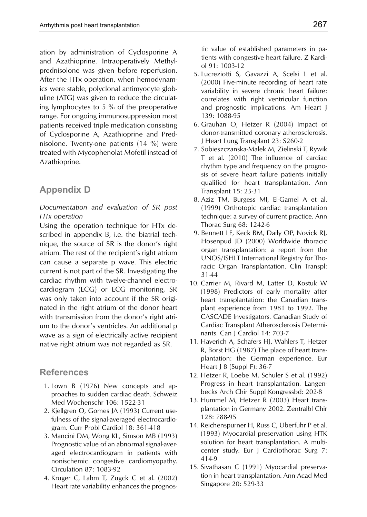ation by administration of Cyclosporine A and Azathioprine. Intraoperatively Methylprednisolone was given before reperfusion. After the HTx operation, when hemodynamics were stable, polyclonal antimyocyte globuline (ATG) was given to reduce the circulating lymphocytes to 5 % of the preoperative range. For ongoing immunosuppression most patients received triple medication consisting of Cyclosporine A, Azathioprine and Prednisolone. Twenty-one patients (14 %) were treated with Mycophenolat Mofetil instead of Azathioprine.

# **Appendix D**

#### *Documentation and evaluation of SR post HTx operation*

Using the operation technique for HTx described in appendix B, i.e. the biatrial technique, the source of SR is the donor's right atrium. The rest of the recipient's right atrium can cause a separate p wave. This electric current is not part of the SR. Investigating the cardiac rhythm with twelve-channel electrocardiogram (ECG) or ECG monitoring, SR was only taken into account if the SR originated in the right atrium of the donor heart with transmission from the donor's right atrium to the donor's ventricles. An additional p wave as a sign of electrically active recipient native right atrium was not regarded as SR.

## **References**

- 1. Lown B (1976) New concepts and approaches to sudden cardiac death. Schweiz Med Wochenschr 106: 1522-31
- 2. Kjellgren O, Gomes JA (1993) Current usefulness of the signal-averaged electrocardiogram. Curr Probl Cardiol 18: 361-418
- 3. Mancini DM, Wong KL, Simson MB (1993) Prognostic value of an abnormal signal-averaged electrocardiogram in patients with nonischemic congestive cardiomyopathy. Circulation 87: 1083-92
- 4. Kruger C, Lahm T, Zugck C et al. (2002) Heart rate variability enhances the prognos-

tic value of established parameters in patients with congestive heart failure. Z Kardiol 91: 1003-12

- 5. Lucreziotti S, Gavazzi A, Scelsi L et al. (2000) Five-minute recording of heart rate variability in severe chronic heart failure: correlates with right ventricular function and prognostic implications. Am Heart J 139: 1088-95
- 6. Grauhan O, Hetzer R (2004) Impact of donor-transmitted coronary atherosclerosis. J Heart Lung Transplant 23: S260-2
- 7. Sobieszczanska-Malek M, Zielinski T, Rywik T et al. (2010) The influence of cardiac rhythm type and frequency on the prognosis of severe heart failure patients initially qualified for heart transplantation. Ann Transplant 15: 25-31
- 8. Aziz TM, Burgess MI, El-Gamel A et al. (1999) Orthotopic cardiac transplantation technique: a survey of current practice. Ann Thorac Surg 68: 1242-6
- 9. Bennett LE, Keck BM, Daily OP, Novick RJ, Hosenpud JD (2000) Worldwide thoracic organ transplantation: a report from the UNOS/ISHLT International Registry for Thoracic Organ Transplantation. Clin Transpl: 31-44
- 10. Carrier M, Rivard M, Latter D, Kostuk W (1998) Predictors of early mortality after heart transplantation: the Canadian transplant experience from 1981 to 1992. The CASCADE Investigators. Canadian Study of Cardiac Transplant Atherosclerosis Determinants. Can J Cardiol 14: 703-7
- 11. Haverich A, Schafers HJ, Wahlers T, Hetzer R, Borst HG (1987) The place of heart transplantation: the German experience. Eur Heart J 8 (Suppl F): 36-7
- 12. Hetzer R, Loebe M, Schuler S et al. (1992) Progress in heart transplantation. Langenbecks Arch Chir Suppl Kongressbd: 202-8
- 13. Hummel M, Hetzer R (2003) Heart transplantation in Germany 2002. Zentralbl Chir 128: 788-95
- 14. Reichenspurner H, Russ C, Uberfuhr P et al. (1993) Myocardial preservation using HTK solution for heart transplantation. A multicenter study. Eur J Cardiothorac Surg 7: 414-9
- 15. Sivathasan C (1991) Myocardial preservation in heart transplantation. Ann Acad Med Singapore 20: 529-33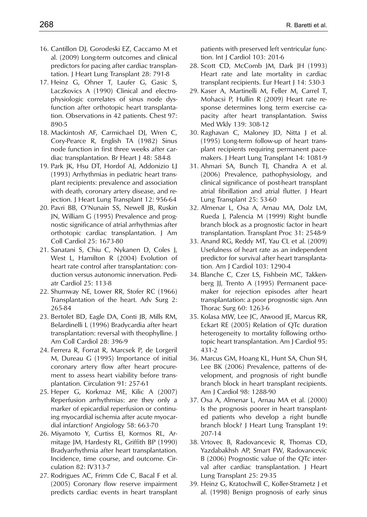- 16. Cantillon DJ, Gorodeski EZ, Caccamo M et al. (2009) Long-term outcomes and clinical predictors for pacing after cardiac transplantation. J Heart Lung Transplant 28: 791-8
- 17. Heinz G, Ohner T, Laufer G, Gasic S, Laczkovics A (1990) Clinical and electrophysiologic correlates of sinus node dysfunction after orthotopic heart transplantation. Observations in 42 patients. Chest 97: 890-5
- 18. Mackintosh AF, Carmichael DJ, Wren C, Cory-Pearce R, English TA (1982) Sinus node function in first three weeks after cardiac transplantation. Br Heart | 48: 584-8
- 19. Park JK, Hsu DT, Hordof AJ, Addonizio LJ (1993) Arrhythmias in pediatric heart transplant recipients: prevalence and association with death, coronary artery disease, and rejection. J Heart Lung Transplant 12: 956-64
- 20. Pavri BB, O'Nunain SS, Newell JB, Ruskin JN, William G (1995) Prevalence and prognostic significance of atrial arrhythmias after orthotopic cardiac transplantation. J Am Coll Cardiol 25: 1673-80
- 21. Sanatani S, Chiu C, Nykanen D, Coles J, West L, Hamilton R (2004) Evolution of heart rate control after transplantation: conduction versus autonomic innervation. Pediatr Cardiol 25: 113-8
- 22. Shumway NE, Lower RR, Stofer RC (1966) Transplantation of the heart. Adv Surg 2: 265-84
- 23. Bertolet BD, Eagle DA, Conti JB, Mills RM, Belardinelli L (1996) Bradycardia after heart transplantation: reversal with theophylline. J Am Coll Cardiol 28: 396-9
- 24. Ferrera R, Forrat R, Marcsek P, de Lorgeril M, Dureau G (1995) Importance of initial coronary artery flow after heart procurement to assess heart viability before transplantation. Circulation 91: 257-61
- 25. Heper G, Korkmaz ME, Kilic A (2007) Reperfusion arrhythmias: are they only a marker of epicardial reperfusion or continuing myocardial ischemia after acute myocardial infarction? Angiology 58: 663-70
- 26. Miyamoto Y, Curtiss EI, Kormos RL, Armitage JM, Hardesty RL, Griffith BP (1990) Bradyarrhythmia after heart transplantation. Incidence, time course, and outcome. Circulation 82: IV313-7
- 27. Rodrigues AC, Frimm Cde C, Bacal F et al. (2005) Coronary flow reserve impairment predicts cardiac events in heart transplant

patients with preserved left ventricular function. Int J Cardiol 103: 201-6

- 28. Scott CD, McComb JM, Dark JH (1993) Heart rate and late mortality in cardiac transplant recipients. Eur Heart J 14: 530-3
- 29. Kaser A, Martinelli M, Feller M, Carrel T, Mohacsi P, Hullin R (2009) Heart rate response determines long term exercise capacity after heart transplantation. Swiss Med Wkly 139: 308-12
- 30. Raghavan C, Maloney JD, Nitta J et al. (1995) Long-term follow-up of heart transplant recipients requiring permanent pacemakers. J Heart Lung Transplant 14: 1081-9
- 31. Ahmari SA, Bunch TJ, Chandra A et al. (2006) Prevalence, pathophysiology, and clinical significance of post-heart transplant atrial fibrillation and atrial flutter. J Heart Lung Transplant 25: 53-60
- 32. Almenar L, Osa A, Arnau MA, Dolz LM, Rueda J, Palencia M (1999) Right bundle branch block as a prognostic factor in heart transplantation. Transplant Proc 31: 2548-9
- 33. Anand RG, Reddy MT, Yau CL et al. (2009) Usefulness of heart rate as an independent predictor for survival after heart transplantation. Am J Cardiol 103: 1290-4
- 34. Blanche C, Czer LS, Fishbein MC, Takkenberg JJ, Trento A (1995) Permanent pacemaker for rejection episodes after heart transplantation: a poor prognostic sign. Ann Thorac Surg 60: 1263-6
- 35. Kolasa MW, Lee JC, Atwood JE, Marcus RR, Eckart RE (2005) Relation of QTc duration heterogeneity to mortality following orthotopic heart transplantation. Am J Cardiol 95: 431-2
- 36. Marcus GM, Hoang KL, Hunt SA, Chun SH, Lee BK (2006) Prevalence, patterns of development, and prognosis of right bundle branch block in heart transplant recipients. Am J Cardiol 98: 1288-90
- 37. Osa A, Almenar L, Arnau MA et al. (2000) Is the prognosis poorer in heart transplanted patients who develop a right bundle branch block? J Heart Lung Transplant 19: 207-14
- 38. Vrtovec B, Radovancevic R, Thomas CD, Yazdabakhsh AP, Smart FW, Radovancevic B (2006) Prognostic value of the QTc interval after cardiac transplantation. J Heart Lung Transplant 25: 29-35
- 39. Heinz G, Kratochwill C, Koller-Strametz J et al. (1998) Benign prognosis of early sinus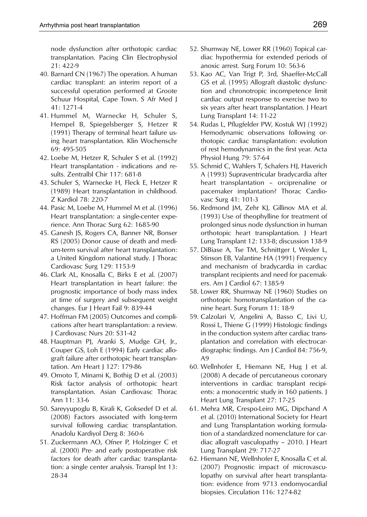node dysfunction after orthotopic cardiac transplantation. Pacing Clin Electrophysiol 21: 422-9

- 40. Barnard CN (1967) The operation. A human cardiac transplant: an interim report of a successful operation performed at Groote Schuur Hospital, Cape Town. S Afr Med J 41: 1271-4
- 41. Hummel M, Warnecke H, Schuler S, Hempel B, Spiegelsberger S, Hetzer R (1991) Therapy of terminal heart failure using heart transplantation. Klin Wochenschr 69: 495-505
- 42. Loebe M, Hetzer R, Schuler S et al. (1992) Heart transplantation - indications and results. Zentralbl Chir 117: 681-8
- 43. Schuler S, Warnecke H, Fleck E, Hetzer R (1989) Heart transplantation in childhood. Z Kardiol 78: 220-7
- 44. Pasic M, Loebe M, Hummel M et al. (1996) Heart transplantation: a single-center experience. Ann Thorac Surg 62: 1685-90
- 45. Ganesh JS, Rogers CA, Banner NR, Bonser RS (2005) Donor cause of death and medium-term survival after heart transplantation: a United Kingdom national study. J Thorac Cardiovasc Surg 129: 1153-9
- 46. Clark AL, Knosalla C, Birks E et al. (2007) Heart transplantation in heart failure: the prognostic importance of body mass index at time of surgery and subsequent weight changes. Eur J Heart Fail 9: 839-44
- 47. Hoffman FM (2005) Outcomes and complications after heart transplantation: a review. J Cardiovasc Nurs 20: S31-42
- 48. Hauptman PJ, Aranki S, Mudge GH, Jr., Couper GS, Loh E (1994) Early cardiac allograft failure after orthotopic heart transplantation. Am Heart J 127: 179-86
- 49. Omoto T, Minami K, Bothig D et al. (2003) Risk factor analysis of orthotopic heart transplantation. Asian Cardiovasc Thorac Ann 11: 33-6
- 50. Sareyyupoglu B, Kirali K, Goksedef D et al. (2008) Factors associated with long-term survival following cardiac transplantation. Anadolu Kardiyol Derg 8: 360-6
- 51. Zuckermann AO, Ofner P, Holzinger C et al. (2000) Pre- and early postoperative risk factors for death after cardiac transplantation: a single center analysis. Transpl Int 13: 28-34
- 52. Shumway NE, Lower RR (1960) Topical cardiac hypothermia for extended periods of anoxic arrest. Surg Forum 10: 563-6
- 53. Kao AC, Van Trigt P, 3rd, Shaeffer-McCall GS et al. (1995) Allograft diastolic dysfunction and chronotropic incompetence limit cardiac output response to exercise two to six years after heart transplantation. J Heart Lung Transplant 14: 11-22
- 54. Rudas L, Pflugfelder PW, Kostuk WJ (1992) Hemodynamic observations following orthotopic cardiac transplantation: evolution of rest hemodynamics in the first year. Acta Physiol Hung 79: 57-64
- 55. Schmid C, Wahlers T, Schafers HJ, Haverich A (1993) Supraventricular bradycardia after heart transplantation – orciprenaline or pacemaker implantation? Thorac Cardiovasc Surg 41: 101-3
- 56. Redmond JM, Zehr KJ, Gillinov MA et al. (1993) Use of theophylline for treatment of prolonged sinus node dysfunction in human orthotopic heart transplantation. J Heart Lung Transplant 12: 133-8; discussion 138-9
- 57. DiBiase A, Tse TM, Schnittger I, Wexler L, Stinson EB, Valantine HA (1991) Frequency and mechanism of bradycardia in cardiac transplant recipients and need for pacemakers. Am J Cardiol 67: 1385-9
- 58. Lower RR, Shumway NE (1960) Studies on orthotopic homotransplantation of the canine heart. Surg Forum 11: 18-9
- 59. Calzolari V, Angelini A, Basso C, Livi U, Rossi L, Thiene G (1999) Histologic findings in the conduction system after cardiac transplantation and correlation with electrocardiographic findings. Am J Cardiol 84: 756-9, A9
- 60. Wellnhofer E, Hiemann NE, Hug J et al. (2008) A decade of percutaneous coronary interventions in cardiac transplant recipients: a monocentric study in 160 patients. J Heart Lung Transplant 27: 17-25
- 61. Mehra MR, Crespo-Leiro MG, Dipchand A et al. (2010) International Society for Heart and Lung Transplantation working formulation of a standardized nomenclature for cardiac allograft vasculopathy – 2010. J Heart Lung Transplant 29: 717-27
- 62. Hiemann NE, Wellnhofer E, Knosalla C et al. (2007) Prognostic impact of microvasculopathy on survival after heart transplantation: evidence from 9713 endomyocardial biopsies. Circulation 116: 1274-82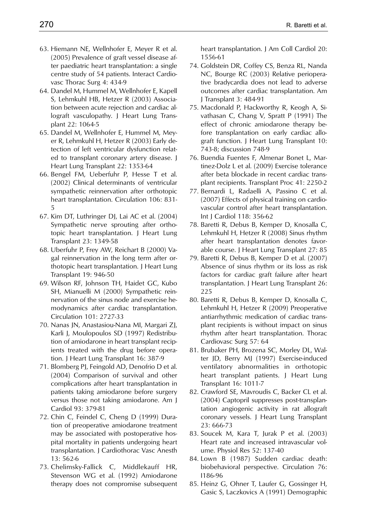- 63. Hiemann NE, Wellnhofer E, Meyer R et al. (2005) Prevalence of graft vessel disease after paediatric heart transplantation: a single centre study of 54 patients. Interact Cardiovasc Thorac Surg 4: 434-9
- 64. Dandel M, Hummel M, Wellnhofer E, Kapell S, Lehmkuhl HB, Hetzer R (2003) Association between acute rejection and cardiac allograft vasculopathy. J Heart Lung Transplant 22: 1064-5
- 65. Dandel M, Wellnhofer E, Hummel M, Meyer R, Lehmkuhl H, Hetzer R (2003) Early detection of left ventricular dysfunction related to transplant coronary artery disease. J Heart Lung Transplant 22: 1353-64
- 66. Bengel FM, Ueberfuhr P, Hesse T et al. (2002) Clinical determinants of ventricular sympathetic reinnervation after orthotopic heart transplantation. Circulation 106: 831- 5
- 67. Kim DT, Luthringer DJ, Lai AC et al. (2004) Sympathetic nerve sprouting after orthotopic heart transplantation. J Heart Lung Transplant 23: 1349-58
- 68. Uberfuhr P, Frey AW, Reichart B (2000) Vagal reinnervation in the long term after orthotopic heart transplantation. J Heart Lung Transplant 19: 946-50
- 69. Wilson RF, Johnson TH, Haidet GC, Kubo SH, Mianuelli M (2000) Sympathetic reinnervation of the sinus node and exercise hemodynamics after cardiac transplantation. Circulation 101: 2727-33
- 70. Nanas JN, Anastasiou-Nana MI, Margari ZJ, Karli J, Moulopoulos SD (1997) Redistribution of amiodarone in heart transplant recipients treated with the drug before operation. J Heart Lung Transplant 16: 387-9
- 71. Blomberg PJ, Feingold AD, Denofrio D et al. (2004) Comparison of survival and other complications after heart transplantation in patients taking amiodarone before surgery versus those not taking amiodarone. Am J Cardiol 93: 379-81
- 72. Chin C, Feindel C, Cheng D (1999) Duration of preoperative amiodarone treatment may be associated with postoperative hospital mortality in patients undergoing heart transplantation. J Cardiothorac Vasc Anesth 13: 562-6
- 73. Chelimsky-Fallick C, Middlekauff HR, Stevenson WG et al. (1992) Amiodarone therapy does not compromise subsequent

heart transplantation. J Am Coll Cardiol 20: 1556-61

- 74. Goldstein DR, Coffey CS, Benza RL, Nanda NC, Bourge RC (2003) Relative perioperative bradycardia does not lead to adverse outcomes after cardiac transplantation. Am J Transplant 3: 484-91
- 75. Macdonald P, Hackworthy R, Keogh A, Sivathasan C, Chang V, Spratt P (1991) The effect of chronic amiodarone therapy before transplantation on early cardiac allograft function. J Heart Lung Transplant 10: 743-8; discussion 748-9
- 76. Buendia Fuentes F, Almenar Bonet L, Martinez-Dolz L et al. (2009) Exercise tolerance after beta blockade in recent cardiac transplant recipients. Transplant Proc 41: 2250-2
- 77. Bernardi L, Radaelli A, Passino C et al. (2007) Effects of physical training on cardiovascular control after heart transplantation. Int J Cardiol 118: 356-62
- 78. Baretti R, Debus B, Kemper D, Knosalla C, Lehmkuhl H, Hetzer R (2008) Sinus rhythm after heart transplantation denotes favorable course. J Heart Lung Transplant 27: 85
- 79. Baretti R, Debus B, Kemper D et al. (2007) Absence of sinus rhythm or its loss as risk factors for cardiac graft failure after heart transplantation. J Heart Lung Transplant 26: 225
- 80. Baretti R, Debus B, Kemper D, Knosalla C, Lehmkuhl H, Hetzer R (2009) Preoperative antiarrhythmic medication of cardiac transplant recipients is without impact on sinus rhythm after heart transplantation. Thorac Cardiovasc Surg 57: 64
- 81. Brubaker PH, Brozena SC, Morley DL, Walter JD, Berry MJ (1997) Exercise-induced ventilatory abnormalities in orthotopic heart transplant patients. J Heart Lung Transplant 16: 1011-7
- 82. Crawford SE, Mavroudis C, Backer CL et al. (2004) Captopril suppresses post-transplantation angiogenic activity in rat allograft coronary vessels. J Heart Lung Transplant 23: 666-73
- 83. Soucek M, Kara T, Jurak P et al. (2003) Heart rate and increased intravascular volume. Physiol Res 52: 137-40
- 84. Lown B (1987) Sudden cardiac death: biobehavioral perspective. Circulation 76: I186-96
- 85. Heinz G, Ohner T, Laufer G, Gossinger H, Gasic S, Laczkovics A (1991) Demographic